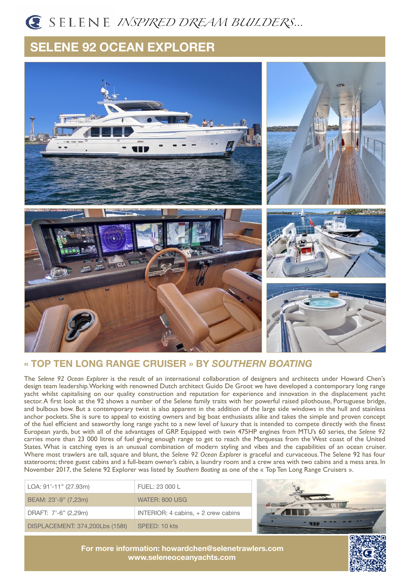# *INSPIRED DREAM BUILDERS…*

## **SELENE 92 OCEAN EXPLORER**



### **« TOP TEN LONG RANGE CRUISER » BY** *SOUTHERN BOATING*

The *Selene 92 Ocean Explorer* is the result of an international collaboration of designers and architects under Howard Chen's design team leadership. Working with renowned Dutch architect Guido De Groot we have developed a contemporary long range yacht whilst capitalising on our quality construction and reputation for experience and innovation in the displacement yacht sector. A first look at the 92 shows a number of the Selene family traits with her powerful raised pilothouse, Portuguese bridge, and bulbous bow. But a contemporary twist is also apparent in the addition of the large side windows in the hull and stainless anchor pockets. She is sure to appeal to existing owners and big boat enthusiasts alike and takes the simple and proven concept of the fuel efficient and seaworthy long range yacht to a new level of luxury that is intended to compete directly with the finest European yards, but with all of the advantages of GRP. Equipped with twin 475HP engines from MTU's 60 series, the *Selene 92* carries more than 23 000 litres of fuel giving enough range to get to reach the Marquesas from the West coast of the United States. What is catching eyes is an unusual combination of modern styling and vibes and the capabilities of an ocean cruiser. Where most trawlers are tall, square and blunt, the *Selene 92 Ocean Explorer* is graceful and curvaceous. The Selene 92 has four staterooms; three guest cabins and a full-beam owner's cabin, a laundry room and a crew area with two cabins and a mess area. In November 2017, the Selene 92 Explorer was listed by *Southern Boating* as one of the « Top Ten Long Range Cruisers ».

| LOA: 91'-11" (27.93m)           | FUEL: 23 000 L                       |
|---------------------------------|--------------------------------------|
| BEAM: 23'-9" (7,23m)            | WATER: 800 USG.                      |
| DRAFT: 7'-6" (2,29m)            | INTERIOR: 4 cabins, $+2$ crew cabins |
| DISPLACEMENT: 374,200Lbs (158t) | SPEED: 10 kts                        |



**For more information: [howardchen@selenetrawlers.com](mailto:howardchen@selenetrawlers.com) [www.seleneoceanyachts.com](http://www.seleneoceanyachts.com)**